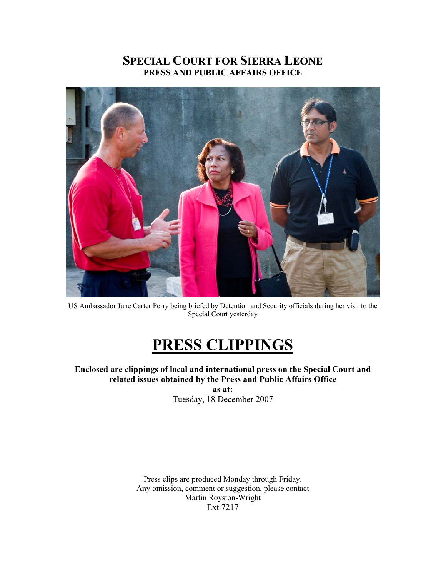## **SPECIAL COURT FOR SIERRA LEONE PRESS AND PUBLIC AFFAIRS OFFICE**



US Ambassador June Carter Perry being briefed by Detention and Security officials during her visit to the Special Court yesterday

## **PRESS CLIPPINGS**

**Enclosed are clippings of local and international press on the Special Court and related issues obtained by the Press and Public Affairs Office** 

> **as at:**  Tuesday, 18 December 2007

Press clips are produced Monday through Friday. Any omission, comment or suggestion, please contact Martin Royston-Wright Ext 7217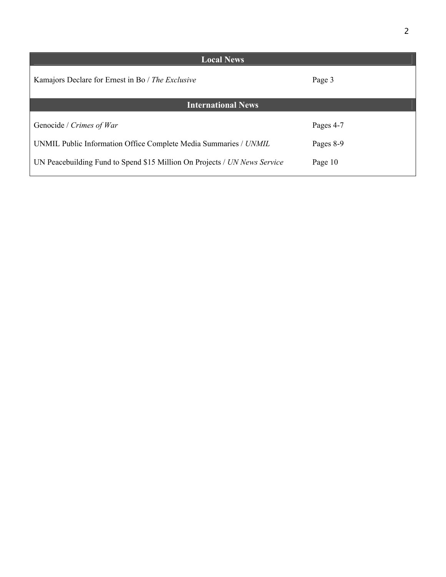| <b>Local News</b>                                                         |           |
|---------------------------------------------------------------------------|-----------|
| Kamajors Declare for Ernest in Bo / The Exclusive                         | Page 3    |
| <b>International News</b>                                                 |           |
| Genocide / Crimes of War                                                  | Pages 4-7 |
| UNMIL Public Information Office Complete Media Summaries / UNMIL          | Pages 8-9 |
| UN Peacebuilding Fund to Spend \$15 Million On Projects / UN News Service | Page 10   |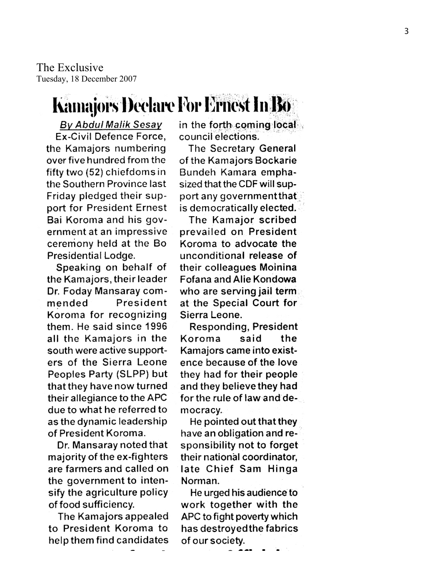The E xclusive Tuesday, 18 December 2007

# Kamajors Declare For Ernest In Bo

By Abdul Malik Sesay Ex-Civil Defence Force, the Kamajors numbering over five hundred from the fifty two (52) chiefdoms in the Southern Province last Friday pledged their support for President Ernest Bai Koroma and his government at an impressive ceremony held at the Bo Presidential Lodge.

Speaking on behalf of the Kamajors, their leader Dr. Foday Mansaray commended President Koroma for recognizing them. He said since 1996 all the Kamajors in the south were active supporters of the Sierra Leone Peoples Party (SLPP) but that they have now turned their allegiance to the APC due to what he referred to as the dynamic leadership of President Koroma.

Dr. Mansaray noted that majority of the ex-fighters are farmers and called on the government to intensify the agriculture policy of food sufficiency.

The Kamajors appealed to President Koroma to help them find candidates in the forth coming local council elections.

The Secretary General of the Kamajors Bockarie Bundeh Kamara emphasized that the CDF will support any government that is democratically elected.

The Kamajor scribed prevailed on President Koroma to advocate the unconditional release of their colleagues Moinina **Fofana and Alie Kondowa** who are serving jail term at the Special Court for Sierra Leone.

**Responding, President** said the Koroma Kamajors came into existence because of the love they had for their people and they believe they had for the rule of law and democracy.

He pointed out that they have an obligation and responsibility not to forget their national coordinator, late Chief Sam Hinga Norman.

He urged his audience to work together with the APC to fight poverty which has destroyed the fabrics of our society.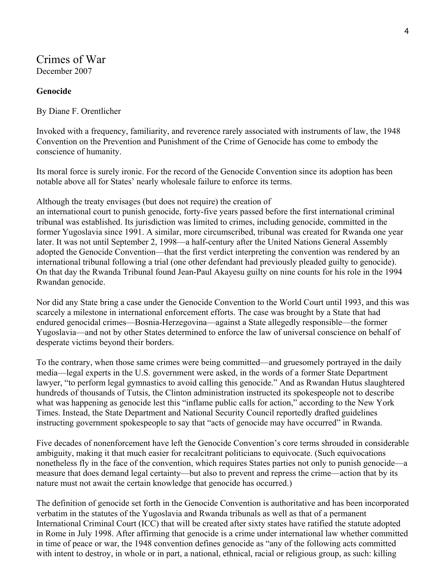## Crimes of War December 2007

#### **Genocide**

By Diane F. Orentlicher

Invoked with a frequency, familiarity, and reverence rarely associated with instruments of law, the 1948 Convention on the Prevention and Punishment of the Crime of Genocide has come to embody the conscience of humanity.

Its moral force is surely ironic. For the record of the Genocide Convention since its adoption has been notable above all for States' nearly wholesale failure to enforce its terms.

Although the treaty envisages (but does not require) the creation of

an international court to punish genocide, forty-five years passed before the first international criminal tribunal was established. Its jurisdiction was limited to crimes, including genocide, committed in the former Yugoslavia since 1991. A similar, more circumscribed, tribunal was created for Rwanda one year later. It was not until September 2, 1998—a half-century after the United Nations General Assembly adopted the Genocide Convention—that the first verdict interpreting the convention was rendered by an international tribunal following a trial (one other defendant had previously pleaded guilty to genocide). On that day the Rwanda Tribunal found Jean-Paul Akayesu guilty on nine counts for his role in the 1994 Rwandan genocide.

Nor did any State bring a case under the Genocide Convention to the World Court until 1993, and this was scarcely a milestone in international enforcement efforts. The case was brought by a State that had endured genocidal crimes—Bosnia-Herzegovina—against a State allegedly responsible—the former Yugoslavia—and not by other States determined to enforce the law of universal conscience on behalf of desperate victims beyond their borders.

To the contrary, when those same crimes were being committed—and gruesomely portrayed in the daily media—legal experts in the U.S. government were asked, in the words of a former State Department lawyer, "to perform legal gymnastics to avoid calling this genocide." And as Rwandan Hutus slaughtered hundreds of thousands of Tutsis, the Clinton administration instructed its spokespeople not to describe what was happening as genocide lest this "inflame public calls for action," according to the New York Times. Instead, the State Department and National Security Council reportedly drafted guidelines instructing government spokespeople to say that "acts of genocide may have occurred" in Rwanda.

Five decades of nonenforcement have left the Genocide Convention's core terms shrouded in considerable ambiguity, making it that much easier for recalcitrant politicians to equivocate. (Such equivocations nonetheless fly in the face of the convention, which requires States parties not only to punish genocide—a measure that does demand legal certainty—but also to prevent and repress the crime—action that by its nature must not await the certain knowledge that genocide has occurred.)

The definition of genocide set forth in the Genocide Convention is authoritative and has been incorporated verbatim in the statutes of the Yugoslavia and Rwanda tribunals as well as that of a permanent International Criminal Court (ICC) that will be created after sixty states have ratified the statute adopted in Rome in July 1998. After affirming that genocide is a crime under international law whether committed in time of peace or war, the 1948 convention defines genocide as "any of the following acts committed with intent to destroy, in whole or in part, a national, ethnical, racial or religious group, as such: killing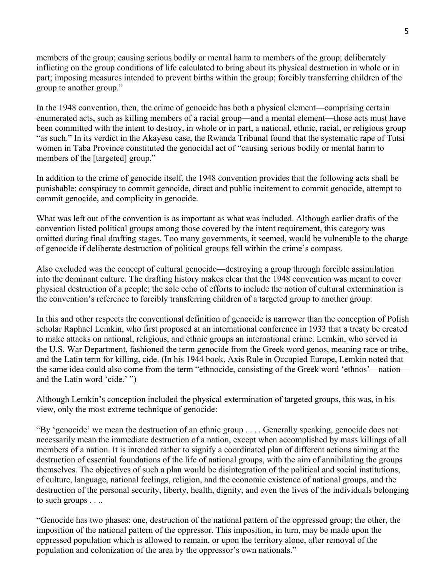members of the group; causing serious bodily or mental harm to members of the group; deliberately inflicting on the group conditions of life calculated to bring about its physical destruction in whole or in part; imposing measures intended to prevent births within the group; forcibly transferring children of the group to another group."

In the 1948 convention, then, the crime of genocide has both a physical element—comprising certain enumerated acts, such as killing members of a racial group—and a mental element—those acts must have been committed with the intent to destroy, in whole or in part, a national, ethnic, racial, or religious group "as such." In its verdict in the Akayesu case, the Rwanda Tribunal found that the systematic rape of Tutsi women in Taba Province constituted the genocidal act of "causing serious bodily or mental harm to members of the [targeted] group."

In addition to the crime of genocide itself, the 1948 convention provides that the following acts shall be punishable: conspiracy to commit genocide, direct and public incitement to commit genocide, attempt to commit genocide, and complicity in genocide.

What was left out of the convention is as important as what was included. Although earlier drafts of the convention listed political groups among those covered by the intent requirement, this category was omitted during final drafting stages. Too many governments, it seemed, would be vulnerable to the charge of genocide if deliberate destruction of political groups fell within the crime's compass.

Also excluded was the concept of cultural genocide—destroying a group through forcible assimilation into the dominant culture. The drafting history makes clear that the 1948 convention was meant to cover physical destruction of a people; the sole echo of efforts to include the notion of cultural extermination is the convention's reference to forcibly transferring children of a targeted group to another group.

In this and other respects the conventional definition of genocide is narrower than the conception of Polish scholar Raphael Lemkin, who first proposed at an international conference in 1933 that a treaty be created to make attacks on national, religious, and ethnic groups an international crime. Lemkin, who served in the U.S. War Department, fashioned the term genocide from the Greek word genos, meaning race or tribe, and the Latin term for killing, cide. (In his 1944 book, Axis Rule in Occupied Europe, Lemkin noted that the same idea could also come from the term "ethnocide, consisting of the Greek word 'ethnos'—nation and the Latin word 'cide.' ")

Although Lemkin's conception included the physical extermination of targeted groups, this was, in his view, only the most extreme technique of genocide:

"By 'genocide' we mean the destruction of an ethnic group . . . . Generally speaking, genocide does not necessarily mean the immediate destruction of a nation, except when accomplished by mass killings of all members of a nation. It is intended rather to signify a coordinated plan of different actions aiming at the destruction of essential foundations of the life of national groups, with the aim of annihilating the groups themselves. The objectives of such a plan would be disintegration of the political and social institutions, of culture, language, national feelings, religion, and the economic existence of national groups, and the destruction of the personal security, liberty, health, dignity, and even the lives of the individuals belonging to such groups . . ..

"Genocide has two phases: one, destruction of the national pattern of the oppressed group; the other, the imposition of the national pattern of the oppressor. This imposition, in turn, may be made upon the oppressed population which is allowed to remain, or upon the territory alone, after removal of the population and colonization of the area by the oppressor's own nationals."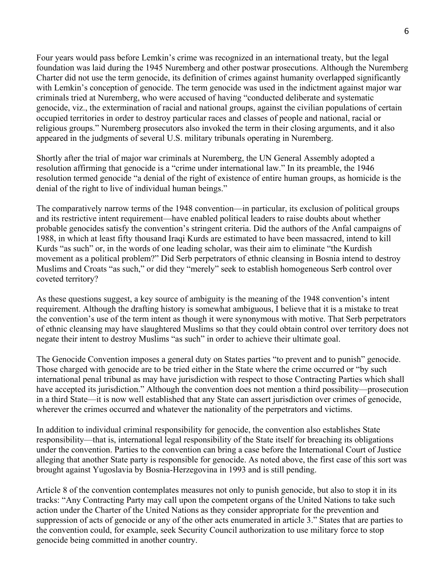Four years would pass before Lemkin's crime was recognized in an international treaty, but the legal foundation was laid during the 1945 Nuremberg and other postwar prosecutions. Although the Nuremberg Charter did not use the term genocide, its definition of crimes against humanity overlapped significantly with Lemkin's conception of genocide. The term genocide was used in the indictment against major war criminals tried at Nuremberg, who were accused of having "conducted deliberate and systematic genocide, viz., the extermination of racial and national groups, against the civilian populations of certain occupied territories in order to destroy particular races and classes of people and national, racial or religious groups." Nuremberg prosecutors also invoked the term in their closing arguments, and it also appeared in the judgments of several U.S. military tribunals operating in Nuremberg.

Shortly after the trial of major war criminals at Nuremberg, the UN General Assembly adopted a resolution affirming that genocide is a "crime under international law." In its preamble, the 1946 resolution termed genocide "a denial of the right of existence of entire human groups, as homicide is the denial of the right to live of individual human beings."

The comparatively narrow terms of the 1948 convention—in particular, its exclusion of political groups and its restrictive intent requirement—have enabled political leaders to raise doubts about whether probable genocides satisfy the convention's stringent criteria. Did the authors of the Anfal campaigns of 1988, in which at least fifty thousand Iraqi Kurds are estimated to have been massacred, intend to kill Kurds "as such" or, in the words of one leading scholar, was their aim to eliminate "the Kurdish movement as a political problem?" Did Serb perpetrators of ethnic cleansing in Bosnia intend to destroy Muslims and Croats "as such," or did they "merely" seek to establish homogeneous Serb control over coveted territory?

As these questions suggest, a key source of ambiguity is the meaning of the 1948 convention's intent requirement. Although the drafting history is somewhat ambiguous, I believe that it is a mistake to treat the convention's use of the term intent as though it were synonymous with motive. That Serb perpetrators of ethnic cleansing may have slaughtered Muslims so that they could obtain control over territory does not negate their intent to destroy Muslims "as such" in order to achieve their ultimate goal.

The Genocide Convention imposes a general duty on States parties "to prevent and to punish" genocide. Those charged with genocide are to be tried either in the State where the crime occurred or "by such international penal tribunal as may have jurisdiction with respect to those Contracting Parties which shall have accepted its jurisdiction." Although the convention does not mention a third possibility—prosecution in a third State—it is now well established that any State can assert jurisdiction over crimes of genocide, wherever the crimes occurred and whatever the nationality of the perpetrators and victims.

In addition to individual criminal responsibility for genocide, the convention also establishes State responsibility—that is, international legal responsibility of the State itself for breaching its obligations under the convention. Parties to the convention can bring a case before the International Court of Justice alleging that another State party is responsible for genocide. As noted above, the first case of this sort was brought against Yugoslavia by Bosnia-Herzegovina in 1993 and is still pending.

Article 8 of the convention contemplates measures not only to punish genocide, but also to stop it in its tracks: "Any Contracting Party may call upon the competent organs of the United Nations to take such action under the Charter of the United Nations as they consider appropriate for the prevention and suppression of acts of genocide or any of the other acts enumerated in article 3." States that are parties to the convention could, for example, seek Security Council authorization to use military force to stop genocide being committed in another country.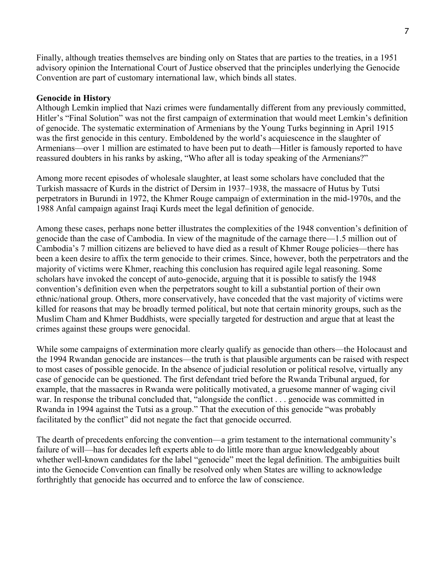Finally, although treaties themselves are binding only on States that are parties to the treaties, in a 1951 advisory opinion the International Court of Justice observed that the principles underlying the Genocide Convention are part of customary international law, which binds all states.

#### **Genocide in History**

Although Lemkin implied that Nazi crimes were fundamentally different from any previously committed, Hitler's "Final Solution" was not the first campaign of extermination that would meet Lemkin's definition of genocide. The systematic extermination of Armenians by the Young Turks beginning in April 1915 was the first genocide in this century. Emboldened by the world's acquiescence in the slaughter of Armenians—over 1 million are estimated to have been put to death—Hitler is famously reported to have reassured doubters in his ranks by asking, "Who after all is today speaking of the Armenians?"

Among more recent episodes of wholesale slaughter, at least some scholars have concluded that the Turkish massacre of Kurds in the district of Dersim in 1937–1938, the massacre of Hutus by Tutsi perpetrators in Burundi in 1972, the Khmer Rouge campaign of extermination in the mid-1970s, and the 1988 Anfal campaign against Iraqi Kurds meet the legal definition of genocide.

Among these cases, perhaps none better illustrates the complexities of the 1948 convention's definition of genocide than the case of Cambodia. In view of the magnitude of the carnage there—1.5 million out of Cambodia's 7 million citizens are believed to have died as a result of Khmer Rouge policies—there has been a keen desire to affix the term genocide to their crimes. Since, however, both the perpetrators and the majority of victims were Khmer, reaching this conclusion has required agile legal reasoning. Some scholars have invoked the concept of auto-genocide, arguing that it is possible to satisfy the 1948 convention's definition even when the perpetrators sought to kill a substantial portion of their own ethnic/national group. Others, more conservatively, have conceded that the vast majority of victims were killed for reasons that may be broadly termed political, but note that certain minority groups, such as the Muslim Cham and Khmer Buddhists, were specially targeted for destruction and argue that at least the crimes against these groups were genocidal.

While some campaigns of extermination more clearly qualify as genocide than others—the Holocaust and the 1994 Rwandan genocide are instances—the truth is that plausible arguments can be raised with respect to most cases of possible genocide. In the absence of judicial resolution or political resolve, virtually any case of genocide can be questioned. The first defendant tried before the Rwanda Tribunal argued, for example, that the massacres in Rwanda were politically motivated, a gruesome manner of waging civil war. In response the tribunal concluded that, "alongside the conflict . . . genocide was committed in Rwanda in 1994 against the Tutsi as a group." That the execution of this genocide "was probably facilitated by the conflict" did not negate the fact that genocide occurred.

The dearth of precedents enforcing the convention—a grim testament to the international community's failure of will—has for decades left experts able to do little more than argue knowledgeably about whether well-known candidates for the label "genocide" meet the legal definition. The ambiguities built into the Genocide Convention can finally be resolved only when States are willing to acknowledge forthrightly that genocide has occurred and to enforce the law of conscience.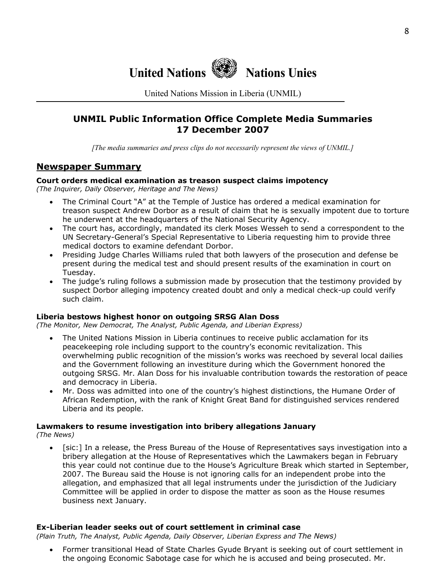

United Nations Mission in Liberia (UNMIL)

## **UNMIL Public Information Office Complete Media Summaries 17 December 2007**

*[The media summaries and press clips do not necessarily represent the views of UNMIL.]*

## **Newspaper Summary**

#### **Court orders medical examination as treason suspect claims impotency**

*(The Inquirer, Daily Observer, Heritage and The News)* 

- The Criminal Court "A" at the Temple of Justice has ordered a medical examination for treason suspect Andrew Dorbor as a result of claim that he is sexually impotent due to torture he underwent at the headquarters of the National Security Agency.
- The court has, accordingly, mandated its clerk Moses Wesseh to send a correspondent to the UN Secretary-General's Special Representative to Liberia requesting him to provide three medical doctors to examine defendant Dorbor.
- Presiding Judge Charles Williams ruled that both lawyers of the prosecution and defense be present during the medical test and should present results of the examination in court on Tuesday.
- The judge's ruling follows a submission made by prosecution that the testimony provided by suspect Dorbor alleging impotency created doubt and only a medical check-up could verify such claim.

#### **Liberia bestows highest honor on outgoing SRSG Alan Doss**

*(The Monitor, New Democrat, The Analyst, Public Agenda, and Liberian Express)*

- The United Nations Mission in Liberia continues to receive public acclamation for its peacekeeping role including support to the country's economic revitalization. This overwhelming public recognition of the mission's works was reechoed by several local dailies and the Government following an investiture during which the Government honored the outgoing SRSG. Mr. Alan Doss for his invaluable contribution towards the restoration of peace and democracy in Liberia.
- Mr. Doss was admitted into one of the country's highest distinctions, the Humane Order of African Redemption, with the rank of Knight Great Band for distinguished services rendered Liberia and its people.

#### **Lawmakers to resume investigation into bribery allegations January** *(The News)*

- - [sic:] In a release, the Press Bureau of the House of Representatives says investigation into a bribery allegation at the House of Representatives which the Lawmakers began in February this year could not continue due to the House's Agriculture Break which started in September, 2007. The Bureau said the House is not ignoring calls for an independent probe into the allegation, and emphasized that all legal instruments under the jurisdiction of the Judiciary Committee will be applied in order to dispose the matter as soon as the House resumes business next January.

#### **Ex-Liberian leader seeks out of court settlement in criminal case**

*(Plain Truth, The Analyst, Public Agenda, Daily Observer, Liberian Express and The News)* 

• Former transitional Head of State Charles Gyude Bryant is seeking out of court settlement in the ongoing Economic Sabotage case for which he is accused and being prosecuted. Mr.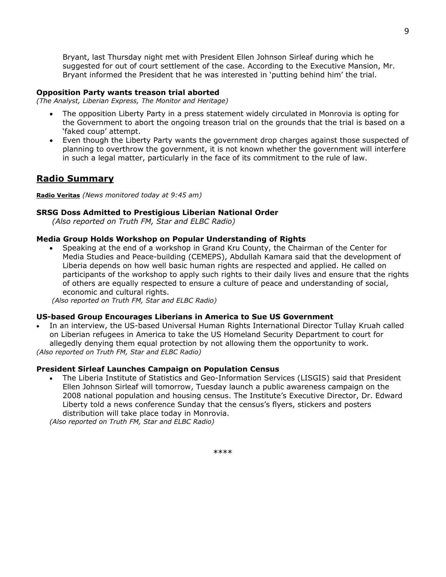Bryant, last Thursday night met with President Ellen Johnson Sirleaf during which he suggested for out of court settlement of the case. According to the Executive Mansion, Mr. Bryant informed the President that he was interested in 'putting behind him' the trial.

#### **Opposition Party wants treason trial aborted**

*(The Analyst, Liberian Express, The Monitor and Heritage)* 

- The opposition Liberty Party in a press statement widely circulated in Monrovia is opting for the Government to abort the ongoing treason trial on the grounds that the trial is based on a 'faked coup' attempt.
- Even though the Liberty Party wants the government drop charges against those suspected of planning to overthrow the government, it is not known whether the government will interfere in such a legal matter, particularly in the face of its commitment to the rule of law.

## **Radio Summary**

**Radio Veritas** *(News monitored today at 9:45 am)*

#### **SRSG Doss Admitted to Prestigious Liberian National Order**

 *(Also reported on Truth FM, Star and ELBC Radio)* 

#### **Media Group Holds Workshop on Popular Understanding of Rights**

• Speaking at the end of a workshop in Grand Kru County, the Chairman of the Center for Media Studies and Peace-building (CEMEPS), Abdullah Kamara said that the development of Liberia depends on how well basic human rights are respected and applied. He called on participants of the workshop to apply such rights to their daily lives and ensure that the rights of others are equally respected to ensure a culture of peace and understanding of social, economic and cultural rights.

 *(Also reported on Truth FM, Star and ELBC Radio)* 

#### **US-based Group Encourages Liberians in America to Sue US Government**

• In an interview, the US-based Universal Human Rights International Director Tullay Kruah called on Liberian refugees in America to take the US Homeland Security Department to court for allegedly denying them equal protection by not allowing them the opportunity to work. *(Also reported on Truth FM, Star and ELBC Radio)* 

#### **President Sirleaf Launches Campaign on Population Census**

• The Liberia Institute of Statistics and Geo-Information Services (LISGIS) said that President Ellen Johnson Sirleaf will tomorrow, Tuesday launch a public awareness campaign on the 2008 national population and housing census. The Institute's Executive Director, Dr. Edward Liberty told a news conference Sunday that the census's flyers, stickers and posters distribution will take place today in Monrovia.

*(Also reported on Truth FM, Star and ELBC Radio)* 

\*\*\*\*